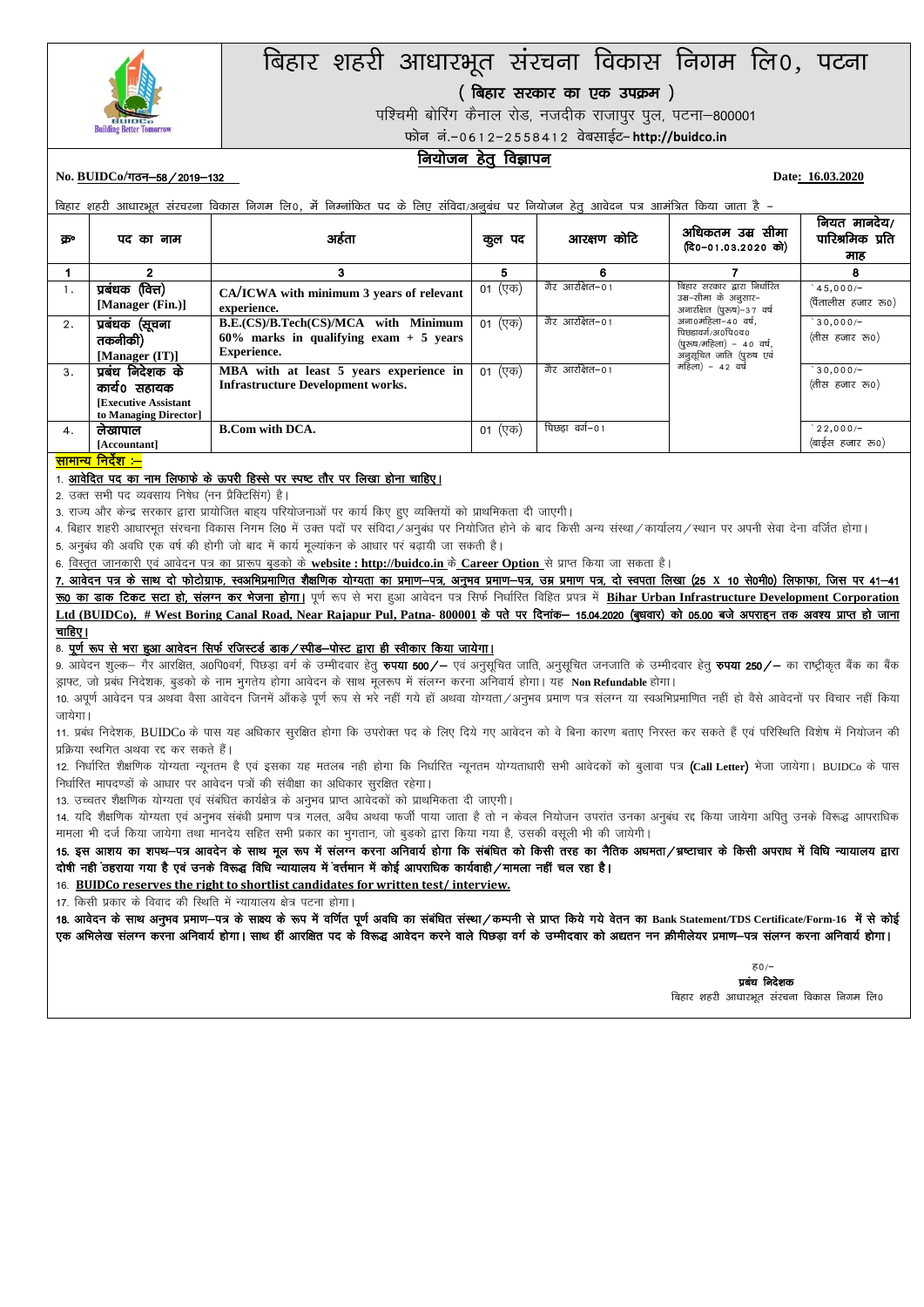

# बिहार शहरी आधारभूत संरचना विकास निगम लि0, पटना

( बिहार सरकार का एक उपक्रम)

.<br>पश्चिमी बोरिंग कैनाल रोड, नजदीक राजापुर पूल, पटना–800001

फोन नं.-0612-2558412 वेबसाईट- http://buidco.in

## <u>नियोजन हेतू</u> विज्ञापन

#### No. BUIDCo/<del>गठन–58 / 2019–132</del> **Date:** 16.03.2020

बिहार शहरी आधारभूत संरचरना विकास निगम लि0, में निम्नांकित पद के लिए संविदा/अनुबंध पर नियोजन हेतु आवेदन पत्र आमंत्रित किया जाता है -

| ਨਾ | पद का नाम                                                                                | अहेता                                                                                            | पद<br>कूल | आरक्षण कोटि    | अधिकतम उम्र सीमा<br>(दि0-01.03.2020 को)                                                         | नियत मानदेय/<br>पारिश्रमिक प्रति<br>माह |
|----|------------------------------------------------------------------------------------------|--------------------------------------------------------------------------------------------------|-----------|----------------|-------------------------------------------------------------------------------------------------|-----------------------------------------|
|    |                                                                                          | 3                                                                                                | 5         | 6              |                                                                                                 | 8                                       |
| 1. | प्रबंधक (वित्त)<br>[Manager (Fin.)]                                                      | CA/ICWA with minimum 3 years of relevant<br>experience.                                          | 01 (एक)   | गैर आरक्षित−01 | बिहार सरकार द्वारा निर्धारित<br>उम्र-सीमा के अनुसार-<br>अनारक्षित (पुरुष)-37 वर्ष               | $45,000/-$<br>(पैंतालीस हजार रू०)       |
| 2. | प्रबंधक (सूचना<br>तकनीकी)<br>[Manager $(IT)$ ]                                           | B.E.(CS)/B.Tech(CS)/MCA with Minimum<br>$60\%$ marks in qualifying exam + 5 years<br>Experience. | 01 (एक)   | गैर आरक्षित−01 | अना0महिला-40 वर्ष,<br>पिछडावर्ग/अ०पि०व०<br>(पुरुष/महिला) - 40 वर्ष,<br>अनुसूचित जाति (पुरुष एवं | $30,000/-$<br>(तीस हजार रू०)            |
| 3. | प्रबंध निदेशक के<br>कार्ये० सहायक<br><b>Executive Assistant</b><br>to Managing Director] | MBA with at least 5 years experience in<br><b>Infrastructure Development works.</b>              | 01 (एक)   | गैर आरक्षित−01 | महिला) - 42 वर्ष                                                                                | $30,000/-$<br>(तीस हजार रु0)            |
| 4. | लेखापाल<br>[Accountant]<br>$\sim$ $\sim$                                                 | <b>B.Com with DCA.</b>                                                                           | 01 (एक)   | पिछडा वर्ग–०१  |                                                                                                 | $22,000/-$<br>(बाईस हजार रू०)           |

<del>सामान्य निर्देश :–</del>

#### 1. आवेदित पद का नाम लिफाफे के ऊपरी हिस्से पर स्पष्ट तौर पर लिखा होना चाहिए।

2. उक्त सभी पद व्यवसाय निषेध (नन प्रैक्टिसिंग) है।

3. राज्य और केन्द्र सरकार द्वारा प्रायोजित बाहय परियोजनाओं पर कार्य किए हुए व्यक्तियों को प्राथमिकता दी जाएगी।

4. बिहार शहरी आधारभत संरचना विकास निगम लि0 में उक्त पदों पर संविदा ⁄अनुबंध पर नियोजित होने के बाद किसी अन्य संस्था ⁄ कार्यालय ⁄स्थान पर अपनी सेवा देना वर्जित होगा। 5. अनुबंध की अवधि एक वर्ष की होगी जो बाद में कार्य मूल्यांकन के आधार पर बढ़ायी जा सकती है।

6. विस्तृत जानकारी एवं आवेदन पत्र का प्रारूप बुडको के website : http://buidco.in के Career Option से प्राप्त किया जा सकता है।

7. आवेदन पत्र के साथ दो फोटोग्राफ, स्वअभिप्रमाणित शैक्षणिक योग्यता का प्रमाण-पत्र, अम्रामण पत्र, वो स्वपता लिखा (25 X 10 से0मी0) लिफाफा, जिस पर 41-41 **रू0 का डाक टिकट सटा हो, संलग्न कर भेजना होगा।** पूर्ण रूप से भरा हुआ आवेदन पत्र सिर्फ निर्धारित विहित प्रपत्र में Bihar Urban Infrastructure Development Corporation

Ltd (BUIDCo), # West Boring Canal Road, Near Rajapur Pul, Patna- 800001 के पते पर दिनांक- 15.04.2020 (बुधवार) को 05.00 बजे अपराइन तक अवश्य प्राप्त हो जाना चाहिए।

#### 8. पूर्ण रूप से भरा हुआ आवेदन सिर्फ रजिस्टर्ड डाक / स्पीड-पोस्ट द्वारा ही स्वीकार किया जायेगा।

9. आवेदन शुल्क– गैर आरक्षित, अ0पि0वर्ग, पिछड़ा वर्ग के उम्मीदवार हेतू **रुपया 500/–** एवं अनुसूचित जाति, अनुसूचित जनजाति के उम्मीदवार हेतू **रुपया 250/–** का राष्ट्रीकृत बैंक का बैंक ड्राफ्ट, जो प्रबंध निदेशक, बुडको के नाम भुगतेय होगा आवेदन के साथ मूलरूप में संलग्न करना अनिवार्य होगा। यह Non Refundable होगा।

10. अपूर्ण आवेदन पत्र अथवा वैसा आवेदन जिनमें ऑकडे पूर्ण रूप से भरे नहीं गये हों अथवा योग्यता/अनुभव प्रमाण पत्र संलग्न या स्वअभिप्रमाणित नहीं हो वैसे आवेदनों पर विचार नहीं किया जायेगा।

11. प्रबंध निदेशक, BUIDCo के पास यह अधिकार सरक्षित होगा कि उपरोक्त पद के लिए दिये गए आवेदन को बेना कारण बताए निरस्त कर सकते हैं एवं परिस्थिति विशेष में नियोजन की प्रक्रिया स्थगित अथवा रद्द कर सकते हैं।

12. निर्धारित शैक्षणिक योग्यता न्यूनतम है एवं इसका यह मतलब नही होगा कि निर्धारित न्यूनतम योग्यताओं सभी आवेदकों को बुलावा पत्र (Call Letter) भेजा जायेगा। BUIDCo के पास निर्धारित मापदण्डों के आधार पर आवेदन पत्रों की संवीक्षा का अधिकार सुरक्षित रहेगा।

13. उच्चतर शैक्षणिक योग्यता एवं संबंधित कार्यक्षेत्र के अनुभव प्राप्त आवेदकों को प्राथमिकता दी जाएगी।

14. यदि शैक्षणिक योग्यता एवं अनुभव संबंधी प्रमाण पत्र गलत, अवैध अथवा फर्जी पाया जाता है तो न केवल नियोजन उपरांत उनका उपराधिक पोपराधिक काथेगा अपित उनके विरूद्ध आपराधिक मामला भी दर्ज किया जायेगा तथा मानदेय सहित सभी प्रकार का भुगतान, जो बुडको द्वारा किया गया है, उसकी वसूली भी की जायेगी।

15. इस आशय का शपथ-पत्र आवदेन के साथ मूल रूप में संलग्न करना अनिवार्य होगा कि संबंधित को किसी तरह का नैतिक अधमता/भ्रष्टाचार के किसी अपराध में विधि न्यायालय द्वारा वोषी नहीं ठहराया गया है एवं उनके विरूद्ध विधि न्यायालय में वर्त्तमान में कोई आपराधिक कार्यवाही ⁄ मामला नहीं चल रहा है।

16- **BUIDCo reserves the right to shortlist candidates for written test/ interview.**

17. किसी प्रकार के विवाद की स्थिति में न्यायालय क्षेत्र पटना होगा।

18. आवेदन के साथ अनुभव प्रमाण–पत्र के साक्ष्य के रूप में वर्णित पूर्ण अवधि का संबंधित संस्था/कम्पनी से प्राप्त किये गये वेतन का Bank Statement/TDS Certificate/Form-16 में से कोई एक अभिलेख संलग्न करना अनिवार्य होगा। साथ हीं आरक्षित पद के विरूद्ध आवेदन करने वाले पिछड़ा वर्ग की बद्याल नगन क्रीमीलेयर प्रमाण-पत्र संलग्न करना अनिवार्य होगा।

> $30/5$ प्रबंध निदेशक बिहार शहरी आधारभूत संरचना विकास निगम लि0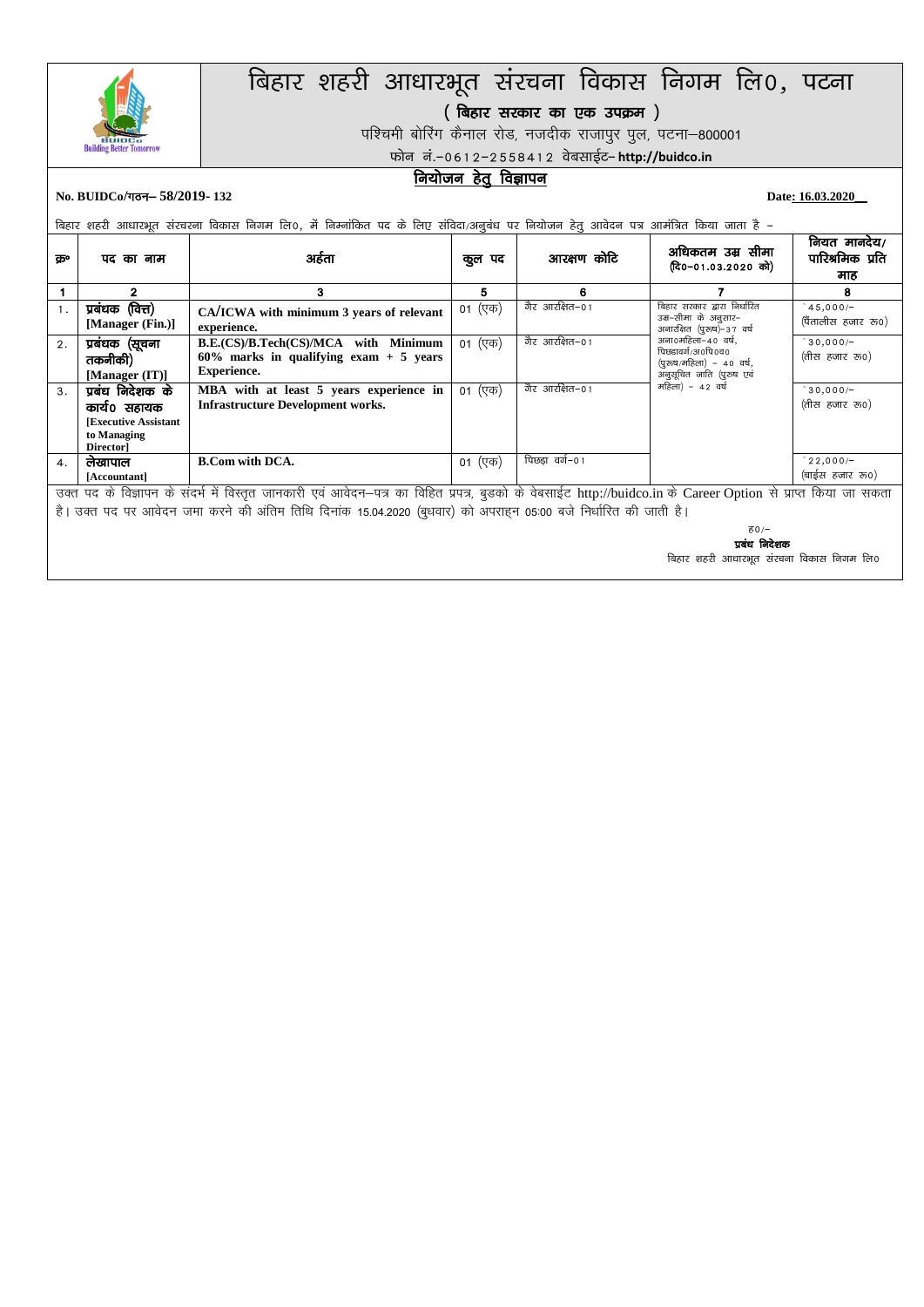

# बिहार शहरी आधारभूत संरचना विकास निगम लि०, पटना

्.<br>( बिहार सरकार का एक उपक्रम )

पश्चिमी बोरिंग कैनाल रोड, नजदीक राजापुर पुल, पटना-800001

फोन नं.-0612-2558412 वेबसाईट- http://buidco.in

## नियोजन हेतु विज्ञापन

No. BUIDCo/<del>*π*στ– 58/2019-132</del> Date: **16.03.2020** Date: **16.03.2020** 

.<br>बिहार शहरी आधारभूत संरचरना विकास निगम लि0, में निम्नांकित पद के लिए संविदा/अनुबंध पर नियोजन हेतु आवेदन पत्र आमंत्रित किया जाता है –

| कु॰                                                                                                                                                                                                                                                                               | पद का नाम                                                                                  | अहेता                                                                                            | कुल पद  | आरक्षण कोटि    | अधिकतम उम्र सीमा<br>(दि0-01.03.2020 को)                                                         | नियत मानदेय/<br>पारिश्रमिक प्रति<br>माह |
|-----------------------------------------------------------------------------------------------------------------------------------------------------------------------------------------------------------------------------------------------------------------------------------|--------------------------------------------------------------------------------------------|--------------------------------------------------------------------------------------------------|---------|----------------|-------------------------------------------------------------------------------------------------|-----------------------------------------|
|                                                                                                                                                                                                                                                                                   | 2                                                                                          | 3                                                                                                | 5       | 6              |                                                                                                 | 8                                       |
|                                                                                                                                                                                                                                                                                   | प्रबंधक (वित्त)<br>[Manager (Fin.)]                                                        | CA/ICWA with minimum 3 years of relevant<br>experience.                                          | 01 (एक) | गैर आरक्षित−01 | बिहार सरकार द्वारा निर्धारित<br>उम्र-सीमा के अनुसार-<br>अनारक्षित (पुरुष)-37 वर्ष               | $45,000/-$<br>(पैंतालीस हजार रू०)       |
| 2.                                                                                                                                                                                                                                                                                | प्रबंधक (सूचना<br>तकनीकी)<br>[Manager $(IT)$ ]                                             | B.E.(CS)/B.Tech(CS)/MCA with Minimum<br>$60\%$ marks in qualifying exam + 5 years<br>Experience. | 01 (एक) | गैर आरक्षित–०१ | अना0महिला-40 वर्ष,<br>पिछडावर्ग/अ०पि०व०<br>(पुरुष/महिला) - 40 वर्ष,<br>अनुसूचित जाति (पुरुष एवं | $30,000/-$<br>(तीस हजार रु0)            |
| 3 <sub>1</sub>                                                                                                                                                                                                                                                                    | प्रबंध निदेशक के<br>कार्य0 सहायक<br><b>Executive Assistant</b><br>to Managing<br>Director] | MBA with at least 5 years experience in<br><b>Infrastructure Development works.</b>              | 01 (एक) | गैर आरक्षित−01 | महिला) - 42 वर्ष                                                                                | $30,000/-$<br>(तीस हजार रु0)            |
| 4.                                                                                                                                                                                                                                                                                | लेखापाल<br>[Accountant]                                                                    | <b>B.Com with DCA.</b>                                                                           | 01 (एक) | पिछडा वर्ग–01  |                                                                                                 | $22,000/-$<br>(बाईस हजार रु०)           |
| उक्त पद के विज्ञापन के संदर्भ में विस्तृत जानकारी एवं आवेदन–पत्र का विहित प्रपत्र, बुडको के वेबसाईट http://buidco.in के Career Option से प्राप्त किया जा सकता<br>है। उक्त पद पर आवेदन जमा करने की अंतिम तिथि दिनांक 15.04.2020 (बुधवार) को अपराहन 05:00 बजे निर्धारित की जाती है। |                                                                                            |                                                                                                  |         |                |                                                                                                 |                                         |
|                                                                                                                                                                                                                                                                                   | 76/                                                                                        |                                                                                                  |         |                |                                                                                                 |                                         |

प्रबंध निदेशक

बिहार शहरी आधारभूत संरचना विकास निगम लि0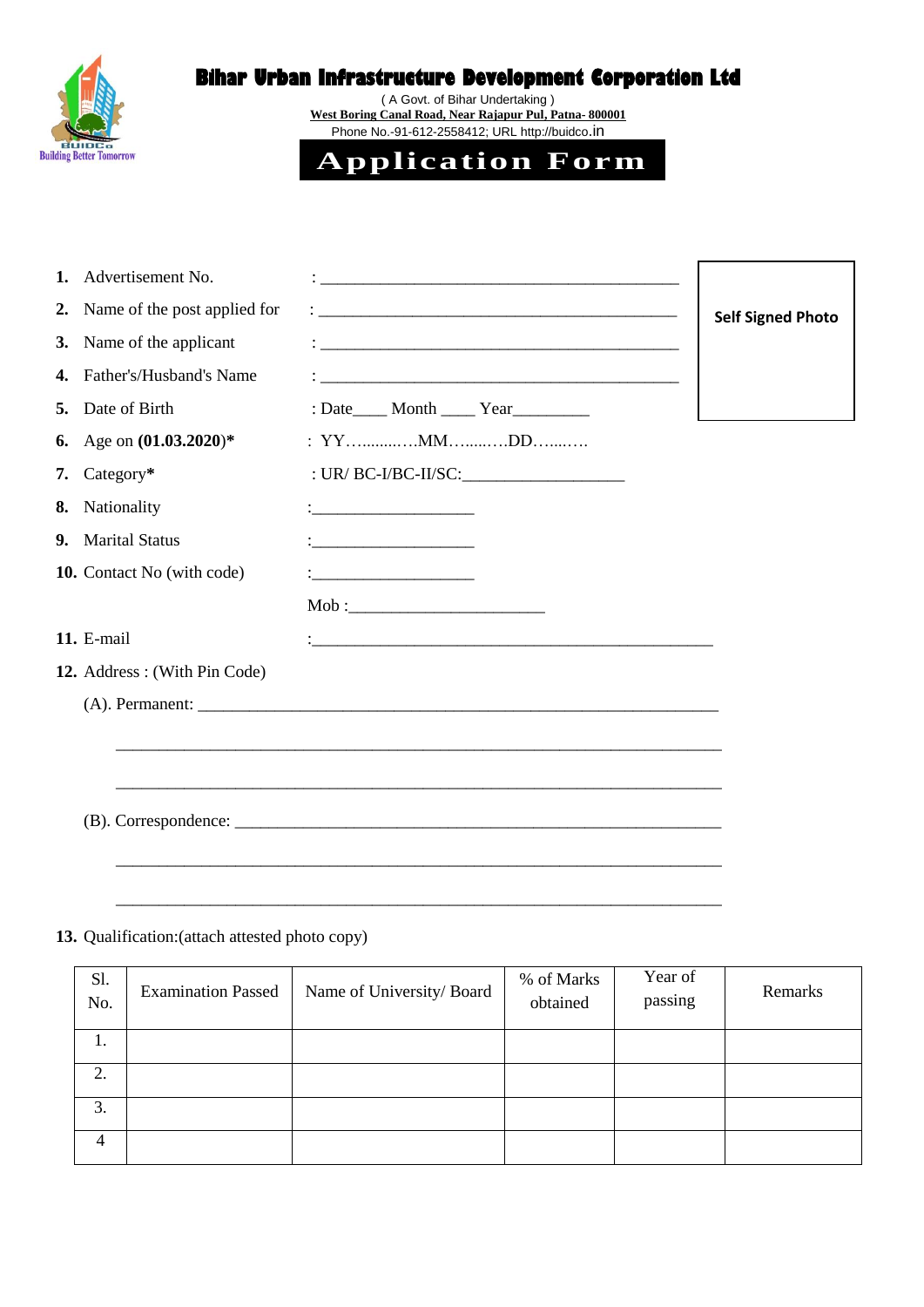

# **Bihar Urban Infrastructure Development Corporation Ltd**

( A Govt. of Bihar Undertaking ) **West Boring Canal Road, Near Rajapur Pul, Patna- 800001** Phone No.-91-612-2558412; URL http://buidco.in



| 1. | Advertisement No.            |                                                                                                                       |                          |
|----|------------------------------|-----------------------------------------------------------------------------------------------------------------------|--------------------------|
| 2. | Name of the post applied for |                                                                                                                       | <b>Self Signed Photo</b> |
| 3. | Name of the applicant        | <u> 1989 - Johann Harry Harry Harry Harry Harry Harry Harry Harry Harry Harry Harry Harry Harry Harry Harry Harry</u> |                          |
| 4. | Father's/Husband's Name      | <u> 1989 - Johann Harry Harry Harry Harry Harry Harry Harry Harry Harry Harry Harry Harry Harry Harry Harry Harry</u> |                          |
| 5. | Date of Birth                | : Date _____ Month _____ Year                                                                                         |                          |
| 6. | Age on $(01.03.2020)^*$      |                                                                                                                       |                          |
| 7. | $Category*$                  | : $UR/ BC-I/BC-II/SC$ :                                                                                               |                          |
| 8. | Nationality                  |                                                                                                                       |                          |
| 9. | <b>Marital Status</b>        | <u> 1986 - John Stein, Amerikaansk politiker (</u>                                                                    |                          |
|    | 10. Contact No (with code)   |                                                                                                                       |                          |
|    |                              | Mob :                                                                                                                 |                          |
|    | 11. E-mail                   | <u> 1989 - Johann Harry Harry Harry Harry Harry Harry Harry Harry Harry Harry Harry Harry Harry Harry Harry Harry</u> |                          |
|    | 12. Address: (With Pin Code) |                                                                                                                       |                          |
|    |                              |                                                                                                                       |                          |
|    |                              | <u> 1980 - Jan James James James James James James James James James James James James James James James James</u>    |                          |
|    |                              |                                                                                                                       |                          |
|    |                              |                                                                                                                       |                          |
|    |                              |                                                                                                                       |                          |
|    |                              |                                                                                                                       |                          |

# **13.** Qualification:(attach attested photo copy)

| Sl.<br>No. | <b>Examination Passed</b> | Name of University/Board | % of Marks<br>obtained | Year of<br>passing | Remarks |
|------------|---------------------------|--------------------------|------------------------|--------------------|---------|
| 1.         |                           |                          |                        |                    |         |
| 2.         |                           |                          |                        |                    |         |
| 3.         |                           |                          |                        |                    |         |
| 4          |                           |                          |                        |                    |         |

\_\_\_\_\_\_\_\_\_\_\_\_\_\_\_\_\_\_\_\_\_\_\_\_\_\_\_\_\_\_\_\_\_\_\_\_\_\_\_\_\_\_\_\_\_\_\_\_\_\_\_\_\_\_\_\_\_\_\_\_\_\_\_\_\_\_\_\_\_\_\_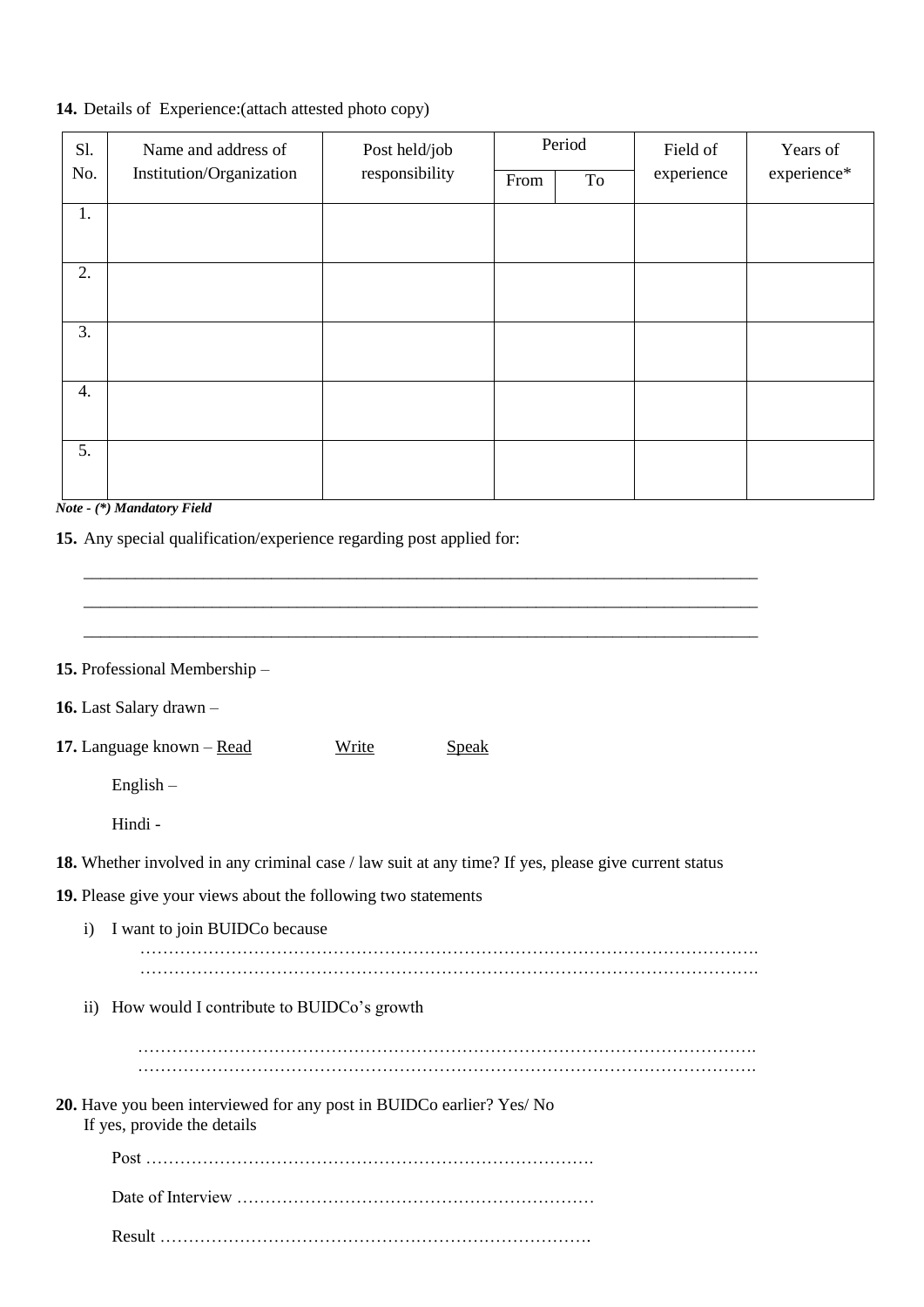## **14.** Details of Experience:(attach attested photo copy)

| S1.<br>No. | Name and address of<br>Institution/Organization | Post held/job<br>responsibility | From | Period<br>To | Field of<br>experience | Years of<br>experience* |
|------------|-------------------------------------------------|---------------------------------|------|--------------|------------------------|-------------------------|
| 1.         |                                                 |                                 |      |              |                        |                         |
| 2.         |                                                 |                                 |      |              |                        |                         |
| 3.         |                                                 |                                 |      |              |                        |                         |
| 4.         |                                                 |                                 |      |              |                        |                         |
| 5.         |                                                 |                                 |      |              |                        |                         |

*Note - (\*) Mandatory Field* 

**15.** Any special qualification/experience regarding post applied for:

\_\_\_\_\_\_\_\_\_\_\_\_\_\_\_\_\_\_\_\_\_\_\_\_\_\_\_\_\_\_\_\_\_\_\_\_\_\_\_\_\_\_\_\_\_\_\_\_\_\_\_\_\_\_\_\_\_\_\_\_\_\_\_\_\_\_\_\_\_\_\_\_\_\_\_\_\_\_\_ **15.** Professional Membership – **16.** Last Salary drawn – 17. Language known – <u>Read</u> Write Speak English – Hindi - **18.** Whether involved in any criminal case / law suit at any time? If yes, please give current status **19.** Please give your views about the following two statements i) I want to join BUIDCo because ………………………………………………………………………………………………. ………………………………………………………………………………………………. ii) How would I contribute to BUIDCo's growth ………………………………………………………………………………………………. ………………………………………………………………………………………………. **20.** Have you been interviewed for any post in BUIDCo earlier? Yes/ No If yes, provide the details Post ……………………………………………………………………. Date of Interview ………………………………………………………

\_\_\_\_\_\_\_\_\_\_\_\_\_\_\_\_\_\_\_\_\_\_\_\_\_\_\_\_\_\_\_\_\_\_\_\_\_\_\_\_\_\_\_\_\_\_\_\_\_\_\_\_\_\_\_\_\_\_\_\_\_\_\_\_\_\_\_\_\_\_\_\_\_\_\_\_\_\_\_ \_\_\_\_\_\_\_\_\_\_\_\_\_\_\_\_\_\_\_\_\_\_\_\_\_\_\_\_\_\_\_\_\_\_\_\_\_\_\_\_\_\_\_\_\_\_\_\_\_\_\_\_\_\_\_\_\_\_\_\_\_\_\_\_\_\_\_\_\_\_\_\_\_\_\_\_\_\_\_

Result ………………………………………………………………….